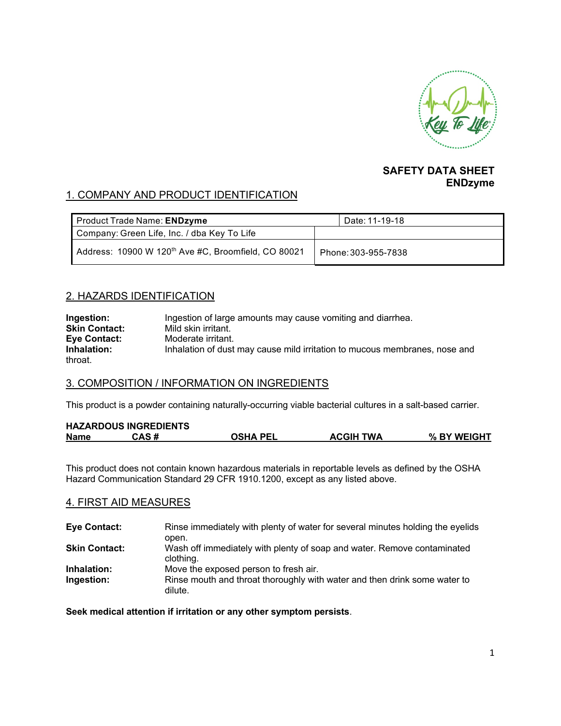

#### **SAFETY DATA SHEET ENDzyme**

# 1. COMPANY AND PRODUCT IDENTIFICATION

| Product Trade Name: ENDzyme                                     | Date: 11-19-18      |
|-----------------------------------------------------------------|---------------------|
| Company: Green Life, Inc. / dba Key To Life                     |                     |
| Address: 10900 W 120 <sup>th</sup> Ave #C, Broomfield, CO 80021 | Phone: 303-955-7838 |

## 2. HAZARDS IDENTIFICATION

| Ingestion:           | Ingestion of large amounts may cause vomiting and diarrhea.                |
|----------------------|----------------------------------------------------------------------------|
| <b>Skin Contact:</b> | Mild skin irritant.                                                        |
| <b>Eye Contact:</b>  | Moderate irritant.                                                         |
| Inhalation:          | Inhalation of dust may cause mild irritation to mucous membranes, nose and |
| throat.              |                                                                            |

### 3. COMPOSITION / INFORMATION ON INGREDIENTS

This product is a powder containing naturally-occurring viable bacterial cultures in a salt-based carrier.

| <b>HAZARDOUS INGREDIENTS</b> |       |                 |                  |             |
|------------------------------|-------|-----------------|------------------|-------------|
| <b>Name</b>                  | CAS # | <b>OSHA PEL</b> | <b>ACGIH TWA</b> | % BY WEIGHT |

This product does not contain known hazardous materials in reportable levels as defined by the OSHA Hazard Communication Standard 29 CFR 1910.1200, except as any listed above.

### 4. FIRST AID MEASURES

| <b>Eye Contact:</b>  | Rinse immediately with plenty of water for several minutes holding the eyelids       |
|----------------------|--------------------------------------------------------------------------------------|
|                      | open.                                                                                |
| <b>Skin Contact:</b> | Wash off immediately with plenty of soap and water. Remove contaminated<br>clothing. |
| Inhalation:          | Move the exposed person to fresh air.                                                |
| Ingestion:           | Rinse mouth and throat thoroughly with water and then drink some water to<br>dilute. |

**Seek medical attention if irritation or any other symptom persists**.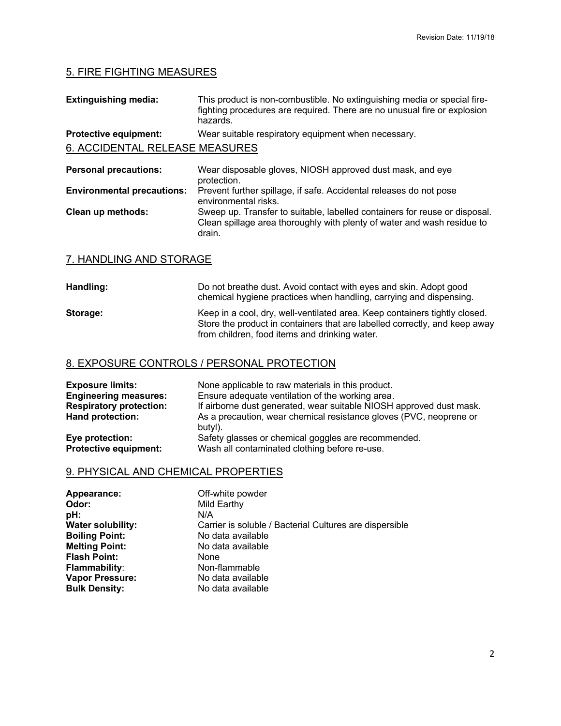# 5. FIRE FIGHTING MEASURES

| <b>Extinguishing media:</b>       | This product is non-combustible. No extinguishing media or special fire-<br>fighting procedures are required. There are no unusual fire or explosion<br>hazards. |  |  |
|-----------------------------------|------------------------------------------------------------------------------------------------------------------------------------------------------------------|--|--|
| <b>Protective equipment:</b>      | Wear suitable respiratory equipment when necessary.                                                                                                              |  |  |
| 6. ACCIDENTAL RELEASE MEASURES    |                                                                                                                                                                  |  |  |
| <b>Personal precautions:</b>      | Wear disposable gloves, NIOSH approved dust mask, and eye<br>protection.                                                                                         |  |  |
| <b>Environmental precautions:</b> | Prevent further spillage, if safe. Accidental releases do not pose<br>anyiranmantal rialm                                                                        |  |  |

environmental risks. **Clean up methods:** Sweep up. Transfer to suitable, labelled containers for reuse or disposal. Clean spillage area thoroughly with plenty of water and wash residue to drain.

### 7. HANDLING AND STORAGE

| Handling: | Do not breathe dust. Avoid contact with eyes and skin. Adopt good<br>chemical hygiene practices when handling, carrying and dispensing.                                                                   |
|-----------|-----------------------------------------------------------------------------------------------------------------------------------------------------------------------------------------------------------|
| Storage:  | Keep in a cool, dry, well-ventilated area. Keep containers tightly closed.<br>Store the product in containers that are labelled correctly, and keep away<br>from children, food items and drinking water. |

#### 8. EXPOSURE CONTROLS / PERSONAL PROTECTION

| <b>Exposure limits:</b>        | None applicable to raw materials in this product.                             |
|--------------------------------|-------------------------------------------------------------------------------|
| <b>Engineering measures:</b>   | Ensure adequate ventilation of the working area.                              |
| <b>Respiratory protection:</b> | If airborne dust generated, wear suitable NIOSH approved dust mask.           |
| Hand protection:               | As a precaution, wear chemical resistance gloves (PVC, neoprene or<br>butyl). |
| Eye protection:                | Safety glasses or chemical goggles are recommended.                           |
| <b>Protective equipment:</b>   | Wash all contaminated clothing before re-use.                                 |

# 9. PHYSICAL AND CHEMICAL PROPERTIES

| Appearance:              | Off-white powder                                        |
|--------------------------|---------------------------------------------------------|
| Odor:                    | Mild Earthy                                             |
| pH:                      | N/A                                                     |
| <b>Water solubility:</b> | Carrier is soluble / Bacterial Cultures are dispersible |
| <b>Boiling Point:</b>    | No data available                                       |
| <b>Melting Point:</b>    | No data available                                       |
| <b>Flash Point:</b>      | None                                                    |
| <b>Flammability:</b>     | Non-flammable                                           |
| <b>Vapor Pressure:</b>   | No data available                                       |
| <b>Bulk Density:</b>     | No data available                                       |